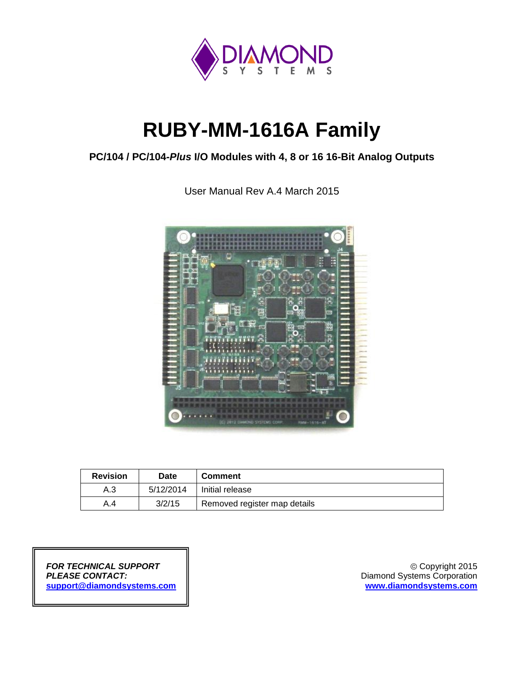

# **RUBY-MM-1616A Family**

## **PC/104 / PC/104-***Plus* **I/O Modules with 4, 8 or 16 16-Bit Analog Outputs**

User Manual Rev A.4 March 2015



| <b>Revision</b> | Date      | <b>Comment</b>               |
|-----------------|-----------|------------------------------|
| A.3             | 5/12/2014 | Initial release              |
| A.4             | 3/2/15    | Removed register map details |

*FOR TECHNICAL SUPPORT* Copyright 2015 *PLEASE CONTACT:* Diamond Systems Corporation **[support@diamondsystems.com](mailto:support@diamondsystems.com) [www.diamondsystems.com](http://www.diamondsystems.com/)**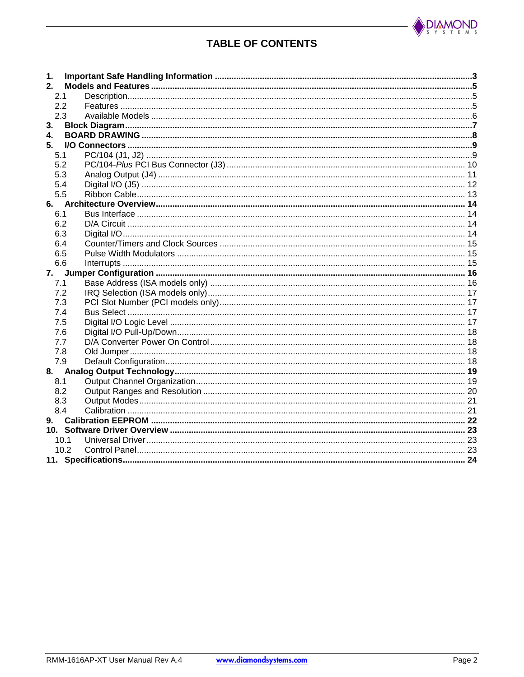

## **TABLE OF CONTENTS**

| 1.           |      |  |
|--------------|------|--|
| 2.           |      |  |
| 2.1          |      |  |
| 2.2          |      |  |
| 2.3          |      |  |
| 3.           |      |  |
| $\mathbf{4}$ |      |  |
| 5.           |      |  |
| 5.1          |      |  |
| 5.2          |      |  |
| 5.3          |      |  |
| 5.4          |      |  |
| 5.5          |      |  |
|              |      |  |
| 6.1          |      |  |
| 6.2          |      |  |
| 6.3          |      |  |
| 6.4          |      |  |
| 6.5          |      |  |
| 6.6          |      |  |
| 7.           |      |  |
| 7.1          |      |  |
| 7.2          |      |  |
| 7.3          |      |  |
| 7.4          |      |  |
| 7.5          |      |  |
| 7.6          |      |  |
| 7.7          |      |  |
| 7.8          |      |  |
| 7.9          |      |  |
|              |      |  |
| 8.1          |      |  |
| 8.2          |      |  |
| 8.3          |      |  |
| 8.4          |      |  |
| 9.           |      |  |
|              |      |  |
|              | 10.1 |  |
|              | 10.2 |  |
|              |      |  |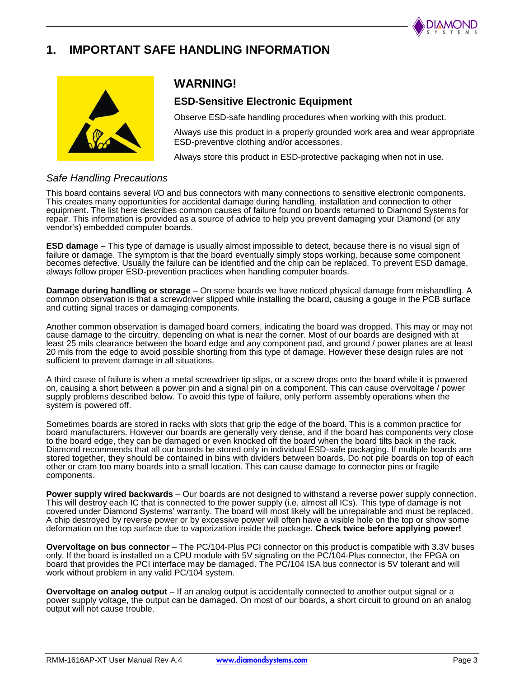

# **1. IMPORTANT SAFE HANDLING INFORMATION**



## **WARNING!**

#### **ESD-Sensitive Electronic Equipment**

Observe ESD-safe handling procedures when working with this product.

Always use this product in a properly grounded work area and wear appropriate ESD-preventive clothing and/or accessories.

Always store this product in ESD-protective packaging when not in use.

#### *Safe Handling Precautions*

This board contains several I/O and bus connectors with many connections to sensitive electronic components. This creates many opportunities for accidental damage during handling, installation and connection to other equipment. The list here describes common causes of failure found on boards returned to Diamond Systems for repair. This information is provided as a source of advice to help you prevent damaging your Diamond (or any vendor's) embedded computer boards.

**ESD damage** – This type of damage is usually almost impossible to detect, because there is no visual sign of failure or damage. The symptom is that the board eventually simply stops working, because some component becomes defective. Usually the failure can be identified and the chip can be replaced. To prevent ESD damage, always follow proper ESD-prevention practices when handling computer boards.

**Damage during handling or storage** – On some boards we have noticed physical damage from mishandling. A common observation is that a screwdriver slipped while installing the board, causing a gouge in the PCB surface and cutting signal traces or damaging components.

Another common observation is damaged board corners, indicating the board was dropped. This may or may not cause damage to the circuitry, depending on what is near the corner. Most of our boards are designed with at least 25 mils clearance between the board edge and any component pad, and ground / power planes are at least 20 mils from the edge to avoid possible shorting from this type of damage. However these design rules are not sufficient to prevent damage in all situations.

A third cause of failure is when a metal screwdriver tip slips, or a screw drops onto the board while it is powered on, causing a short between a power pin and a signal pin on a component. This can cause overvoltage / power supply problems described below. To avoid this type of failure, only perform assembly operations when the system is powered off.

Sometimes boards are stored in racks with slots that grip the edge of the board. This is a common practice for board manufacturers. However our boards are generally very dense, and if the board has components very close to the board edge, they can be damaged or even knocked off the board when the board tilts back in the rack. Diamond recommends that all our boards be stored only in individual ESD-safe packaging. If multiple boards are stored together, they should be contained in bins with dividers between boards. Do not pile boards on top of each other or cram too many boards into a small location. This can cause damage to connector pins or fragile components.

**Power supply wired backwards** – Our boards are not designed to withstand a reverse power supply connection. This will destroy each IC that is connected to the power supply (i.e. almost all ICs). This type of damage is not covered under Diamond Systems' warranty. The board will most likely will be unrepairable and must be replaced. A chip destroyed by reverse power or by excessive power will often have a visible hole on the top or show some deformation on the top surface due to vaporization inside the package. **Check twice before applying power!**

**Overvoltage on bus connector** – The PC/104-Plus PCI connector on this product is compatible with 3.3V buses only. If the board is installed on a CPU module with 5V signaling on the PC/104-Plus connector, the FPGA on board that provides the PCI interface may be damaged. The PC/104 ISA bus connector is 5V tolerant and will work without problem in any valid PC/104 system.

**Overvoltage on analog output** – If an analog output is accidentally connected to another output signal or a power supply voltage, the output can be damaged. On most of our boards, a short circuit to ground on an analog output will not cause trouble.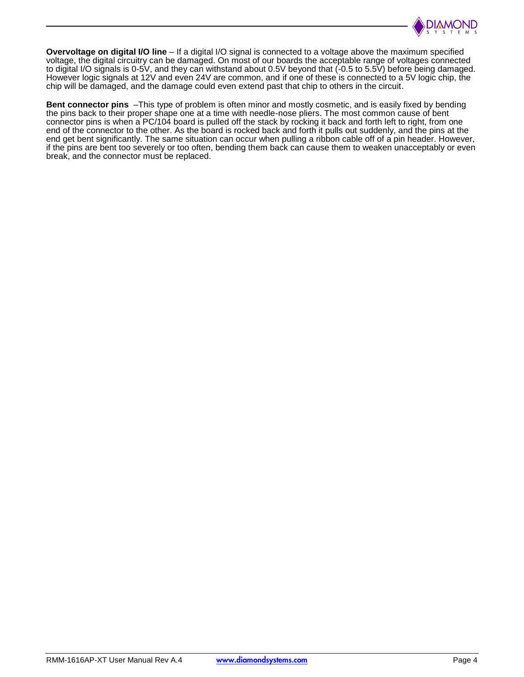

**Overvoltage on digital I/O line** – If a digital I/O signal is connected to a voltage above the maximum specified voltage, the digital circuitry can be damaged. On most of our boards the acceptable range of voltages connected to digital I/O signals is 0-5V, and they can withstand about 0.5V beyond that (-0.5 to 5.5V) before being damaged. However logic signals at 12V and even 24V are common, and if one of these is connected to a 5V logic chip, the chip will be damaged, and the damage could even extend past that chip to others in the circuit.

**Bent connector pins** –This type of problem is often minor and mostly cosmetic, and is easily fixed by bending the pins back to their proper shape one at a time with needle-nose pliers. The most common cause of bent connector pins is when a PC/104 board is pulled off the stack by rocking it back and forth left to right, from one end of the connector to the other. As the board is rocked back and forth it pulls out suddenly, and the pins at the end get bent significantly. The same situation can occur when pulling a ribbon cable off of a pin header. However, if the pins are bent too severely or too often, bending them back can cause them to weaken unacceptably or even break, and the connector must be replaced.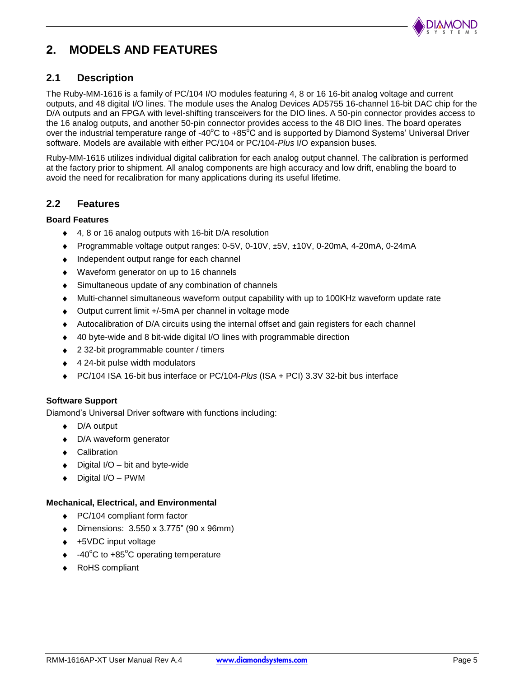

# **2. MODELS AND FEATURES**

#### **2.1 Description**

The Ruby-MM-1616 is a family of PC/104 I/O modules featuring 4, 8 or 16 16-bit analog voltage and current outputs, and 48 digital I/O lines. The module uses the Analog Devices AD5755 16-channel 16-bit DAC chip for the D/A outputs and an FPGA with level-shifting transceivers for the DIO lines. A 50-pin connector provides access to the 16 analog outputs, and another 50-pin connector provides access to the 48 DIO lines. The board operates over the industrial temperature range of -40 $^{\circ}$ C to +85 $^{\circ}$ C and is supported by Diamond Systems' Universal Driver software. Models are available with either PC/104 or PC/104-*Plus* I/O expansion buses.

Ruby-MM-1616 utilizes individual digital calibration for each analog output channel. The calibration is performed at the factory prior to shipment. All analog components are high accuracy and low drift, enabling the board to avoid the need for recalibration for many applications during its useful lifetime.

#### **2.2 Features**

#### **Board Features**

- $\bullet$ 4, 8 or 16 analog outputs with 16-bit D/A resolution
- Programmable voltage output ranges: 0-5V, 0-10V, ±5V, ±10V, 0-20mA, 4-20mA, 0-24mA  $\bullet$
- $\bullet$  Independent output range for each channel
- Waveform generator on up to 16 channels
- Simultaneous update of any combination of channels  $\bullet$
- Multi-channel simultaneous waveform output capability with up to 100KHz waveform update rate ٠
- Output current limit +/-5mA per channel in voltage mode  $\bullet$
- Autocalibration of D/A circuits using the internal offset and gain registers for each channel  $\bullet$
- 40 byte-wide and 8 bit-wide digital I/O lines with programmable direction  $\bullet$
- 2 32-bit programmable counter / timers  $\bullet$
- 4 24-bit pulse width modulators
- PC/104 ISA 16-bit bus interface or PC/104-*Plus* (ISA + PCI) 3.3V 32-bit bus interface

#### **Software Support**

Diamond's Universal Driver software with functions including:

- $\bullet$  D/A output
- ◆ D/A waveform generator
- ◆ Calibration
- $\bullet$  Digital I/O bit and byte-wide
- $\bullet$  Digital I/O PWM

#### **Mechanical, Electrical, and Environmental**

- ◆ PC/104 compliant form factor
- Dimensions: 3.550 x 3.775" (90 x 96mm)
- ◆ +5VDC input voltage
- $\div$  -40°C to +85°C operating temperature
- RoHS compliant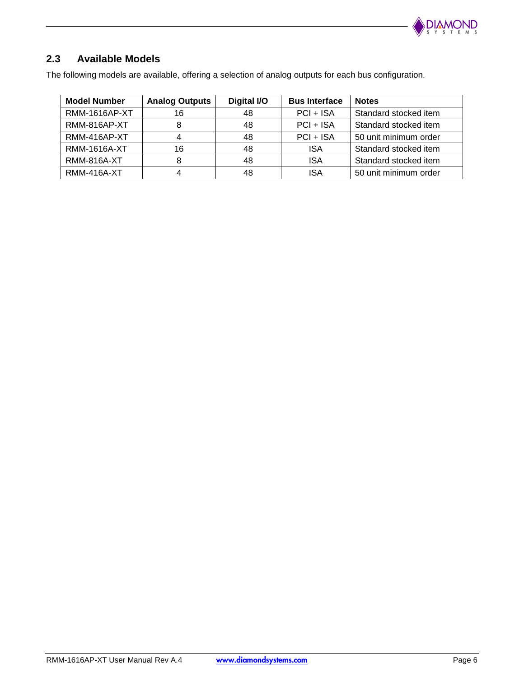

## **2.3 Available Models**

The following models are available, offering a selection of analog outputs for each bus configuration.

| <b>Model Number</b>  | <b>Analog Outputs</b> | Digital I/O | <b>Bus Interface</b> | <b>Notes</b>          |
|----------------------|-----------------------|-------------|----------------------|-----------------------|
| <b>RMM-1616AP-XT</b> | 16                    | 48          | $PCI + ISA$          | Standard stocked item |
| RMM-816AP-XT         |                       | 48          | $PCI + ISA$          | Standard stocked item |
| RMM-416AP-XT         |                       | 48          | $PCI + ISA$          | 50 unit minimum order |
| <b>RMM-1616A-XT</b>  | 16                    | 48          | <b>ISA</b>           | Standard stocked item |
| <b>RMM-816A-XT</b>   |                       | 48          | <b>ISA</b>           | Standard stocked item |
| <b>RMM-416A-XT</b>   |                       | 48          | ISA                  | 50 unit minimum order |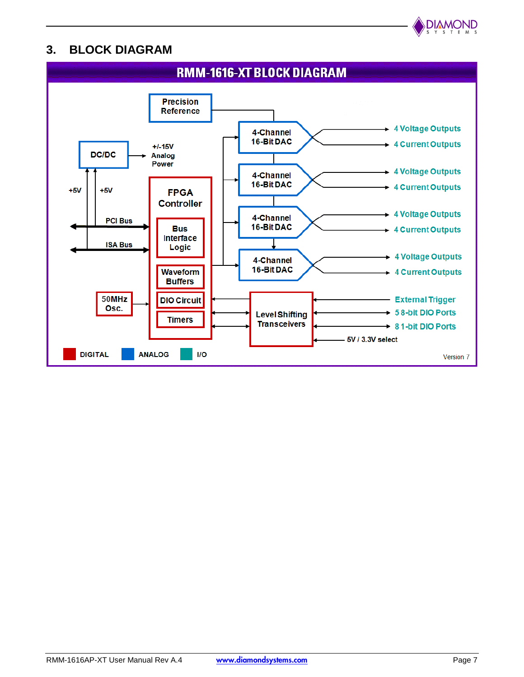

# **3. BLOCK DIAGRAM**

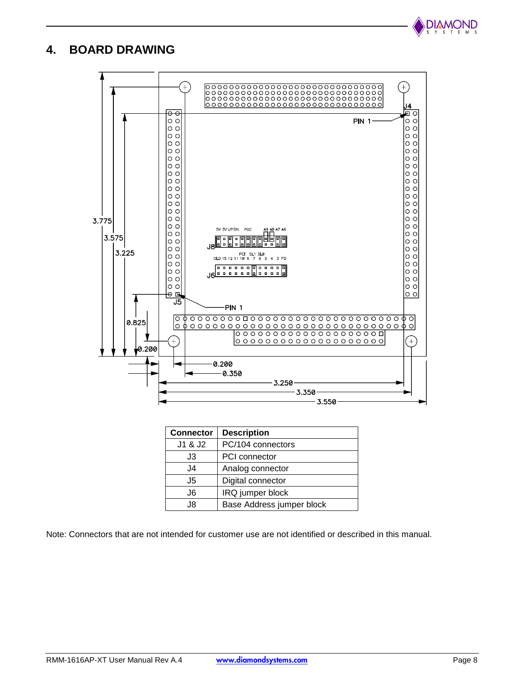

# **4. BOARD DRAWING**



| <b>Connector</b> | <b>Description</b>        |
|------------------|---------------------------|
| J1 & J2          | PC/104 connectors         |
| J3               | <b>PCI</b> connector      |
| J4               | Analog connector          |
| J5               | Digital connector         |
| J6               | IRQ jumper block          |
| .18              | Base Address jumper block |

Note: Connectors that are not intended for customer use are not identified or described in this manual.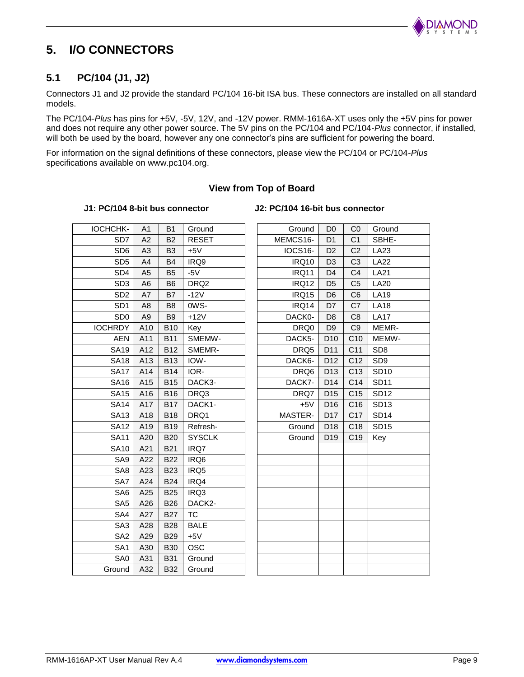

# **5. I/O CONNECTORS**

#### **5.1 PC/104 (J1, J2)**

Connectors J1 and J2 provide the standard PC/104 16-bit ISA bus. These connectors are installed on all standard models.

The PC/104-*Plus* has pins for +5V, -5V, 12V, and -12V power. RMM-1616A-XT uses only the +5V pins for power and does not require any other power source. The 5V pins on the PC/104 and PC/104-*Plus* connector, if installed, will both be used by the board, however any one connector's pins are sufficient for powering the board.

For information on the signal definitions of these connectors, please view the PC/104 or PC/104-*Plus* specifications available on www.pc104.org.

#### **View from Top of Board**

**J1: PC/104 8-bit bus connector J2: PC/104 16-bit bus connector**

| IOCHCHK-        | A1             | <b>B1</b>      | Ground           | Ground       | D <sub>0</sub>  | CO              | Ground           |
|-----------------|----------------|----------------|------------------|--------------|-----------------|-----------------|------------------|
| SD <sub>7</sub> | A2             | <b>B2</b>      | <b>RESET</b>     | MEMCS16-     | D <sub>1</sub>  | C <sub>1</sub>  | SBHE-            |
| SD <sub>6</sub> | A <sub>3</sub> | B <sub>3</sub> | $+5V$            | IOCS16-      | D <sub>2</sub>  | C <sub>2</sub>  | LA23             |
| SD <sub>5</sub> | A4             | <b>B4</b>      | IRQ9             | <b>IRQ10</b> | D <sub>3</sub>  | C <sub>3</sub>  | <b>LA22</b>      |
| SD <sub>4</sub> | A <sub>5</sub> | B <sub>5</sub> | $-5V$            | IRQ11        | D <sub>4</sub>  | C <sub>4</sub>  | <b>LA21</b>      |
| SD <sub>3</sub> | A <sub>6</sub> | B <sub>6</sub> | DRQ <sub>2</sub> | <b>IRQ12</b> | D <sub>5</sub>  | C <sub>5</sub>  | <b>LA20</b>      |
| SD <sub>2</sub> | A7             | B7             | $-12V$           | IRQ15        | D <sub>6</sub>  | C <sub>6</sub>  | <b>LA19</b>      |
| SD <sub>1</sub> | A8             | B <sub>8</sub> | OWS-             | IRQ14        | D7              | C7              | <b>LA18</b>      |
| SD <sub>0</sub> | A <sub>9</sub> | B <sub>9</sub> | $+12V$           | DACK0-       | D <sub>8</sub>  | C <sub>8</sub>  | <b>LA17</b>      |
| <b>IOCHRDY</b>  | A10            | <b>B10</b>     | Key              | DRQ0         | D <sub>9</sub>  | C <sub>9</sub>  | MEMR-            |
| <b>AEN</b>      | A11            | <b>B11</b>     | SMEMW-           | DACK5-       | D <sub>10</sub> | C10             | <b>MEMW</b>      |
| <b>SA19</b>     | A12            | <b>B12</b>     | SMEMR-           | DRQ5         | D11             | C <sub>11</sub> | SD <sub>8</sub>  |
| <b>SA18</b>     | A13            | <b>B13</b>     | IOW-             | DACK6-       | D <sub>12</sub> | C12             | SD <sub>9</sub>  |
| <b>SA17</b>     | A14            | <b>B14</b>     | IOR-             | DRQ6         | D <sub>13</sub> | C <sub>13</sub> | <b>SD10</b>      |
| <b>SA16</b>     | A15            | <b>B15</b>     | DACK3-           | DACK7-       | D14             | C <sub>14</sub> | <b>SD11</b>      |
| <b>SA15</b>     | A16            | <b>B16</b>     | DRQ3             | DRQ7         | D <sub>15</sub> | C <sub>15</sub> | <b>SD12</b>      |
| <b>SA14</b>     | A17            | <b>B17</b>     | DACK1-           | $+5V$        | D <sub>16</sub> | C <sub>16</sub> | SD13             |
| <b>SA13</b>     | A18            | <b>B18</b>     | DRQ1             | MASTER-      | D <sub>17</sub> | C <sub>17</sub> | <b>SD14</b>      |
| SA12            | A19            | <b>B19</b>     | Refresh-         | Ground       | D <sub>18</sub> | C <sub>18</sub> | SD <sub>15</sub> |
| <b>SA11</b>     | A20            | <b>B20</b>     | <b>SYSCLK</b>    | Ground       | D <sub>19</sub> | C <sub>19</sub> | Key              |
| <b>SA10</b>     | A21            | <b>B21</b>     | IRQ7             |              |                 |                 |                  |
| SA9             | A22            | <b>B22</b>     | IRQ6             |              |                 |                 |                  |
| SA <sub>8</sub> | A23            | <b>B23</b>     | IRQ5             |              |                 |                 |                  |
| SA7             | A24            | <b>B24</b>     | IRQ4             |              |                 |                 |                  |
| SA6             | A25            | <b>B25</b>     | IRQ3             |              |                 |                 |                  |
| SA <sub>5</sub> | A26            | <b>B26</b>     | DACK2-           |              |                 |                 |                  |
| SA4             | A27            | <b>B27</b>     | <b>TC</b>        |              |                 |                 |                  |
| SA <sub>3</sub> | A28            | <b>B28</b>     | <b>BALE</b>      |              |                 |                 |                  |
| SA <sub>2</sub> | A29            | <b>B29</b>     | $+5V$            |              |                 |                 |                  |
| SA <sub>1</sub> | A30            | <b>B30</b>     | <b>OSC</b>       |              |                 |                 |                  |
| SA0             | A31            | <b>B31</b>     | Ground           |              |                 |                 |                  |
| Ground          | A32            | <b>B32</b>     | Ground           |              |                 |                 |                  |
|                 |                |                |                  |              |                 |                 |                  |

| CHK-             | A <sub>1</sub> | <b>B1</b>      | Ground           | Ground       | D <sub>0</sub>  | CO              | Ground          |
|------------------|----------------|----------------|------------------|--------------|-----------------|-----------------|-----------------|
| SD <sub>7</sub>  | A2             | <b>B2</b>      | <b>RESET</b>     | MEMCS16-     | D <sub>1</sub>  | C <sub>1</sub>  | SBHE-           |
| SD <sub>6</sub>  | A <sub>3</sub> | B <sub>3</sub> | $+5V$            | IOCS16-      | D <sub>2</sub>  | C <sub>2</sub>  | LA23            |
| SD <sub>5</sub>  | A4             | B4             | IRQ9             | <b>IRQ10</b> | D <sub>3</sub>  | C <sub>3</sub>  | <b>LA22</b>     |
| SD <sub>4</sub>  | A5             | B <sub>5</sub> | $-5V$            | IRQ11        | D <sub>4</sub>  | C <sub>4</sub>  | <b>LA21</b>     |
| SD <sub>3</sub>  | A <sub>6</sub> | B <sub>6</sub> | DRQ <sub>2</sub> | IRQ12        | D <sub>5</sub>  | C <sub>5</sub>  | <b>LA20</b>     |
| SD <sub>2</sub>  | A7             | B7             | $-12V$           | IRQ15        | D <sub>6</sub>  | C <sub>6</sub>  | <b>LA19</b>     |
| SD <sub>1</sub>  | A <sub>8</sub> | B <sub>8</sub> | OWS-             | IRQ14        | D7              | C7              | <b>LA18</b>     |
| SD <sub>0</sub>  | A <sub>9</sub> | <b>B9</b>      | $+12V$           | DACK0-       | D <sub>8</sub>  | C <sub>8</sub>  | <b>LA17</b>     |
| <b>IRDY</b>      | A10            | <b>B10</b>     | Key              | DRQ0         | D <sub>9</sub>  | C <sub>9</sub>  | MEMR-           |
| <b>AEN</b>       | A11            | <b>B11</b>     | SMEMW-           | DACK5-       | D <sub>10</sub> | C10             | MEMW-           |
| SA19             | A12            | <b>B12</b>     | SMEMR-           | DRQ5         | D11             | C <sub>11</sub> | SD <sub>8</sub> |
| SA <sub>18</sub> | A13            | <b>B13</b>     | IOW-             | DACK6-       | D <sub>12</sub> | C <sub>12</sub> | SD <sub>9</sub> |
| <b>SA17</b>      | A14            | <b>B14</b>     | IOR-             | DRQ6         | D <sub>13</sub> | C <sub>13</sub> | <b>SD10</b>     |
| SA16             | A15            | <b>B15</b>     | DACK3-           | DACK7-       | D14             | C14             | <b>SD11</b>     |
| SA15             | A16            | <b>B16</b>     | DRQ3             | DRQ7         | D <sub>15</sub> | C <sub>15</sub> | <b>SD12</b>     |
| SA14             | A17            | <b>B17</b>     | DACK1-           | $+5V$        | D <sub>16</sub> | C <sub>16</sub> | <b>SD13</b>     |
| SA13             | A18            | <b>B18</b>     | DRQ1             | MASTER-      | D <sub>17</sub> | C <sub>17</sub> | <b>SD14</b>     |
| SA12             | A19            | <b>B19</b>     | Refresh-         | Ground       | D <sub>18</sub> | C <sub>18</sub> | <b>SD15</b>     |
| SA11             | A20            | <b>B20</b>     | <b>SYSCLK</b>    | Ground       | D <sub>19</sub> | C <sub>19</sub> | Key             |
| <b>SA10</b>      | A21            | <b>B21</b>     | IRQ7             |              |                 |                 |                 |
| SA9              | A22            | <b>B22</b>     | IRQ6             |              |                 |                 |                 |
| SA8              | A23            | <b>B23</b>     | IRQ5             |              |                 |                 |                 |
| SA7              | A24            | <b>B24</b>     | IRQ4             |              |                 |                 |                 |
| SA6              | A25            | <b>B25</b>     | IRQ3             |              |                 |                 |                 |
| SA <sub>5</sub>  | A26            | <b>B26</b>     | DACK2-           |              |                 |                 |                 |
| SA4              | A27            | <b>B27</b>     | <b>TC</b>        |              |                 |                 |                 |
| SA <sub>3</sub>  | A28            | <b>B28</b>     | <b>BALE</b>      |              |                 |                 |                 |
| SA <sub>2</sub>  | A29            | <b>B29</b>     | $+5V$            |              |                 |                 |                 |
| SA <sub>1</sub>  | A30            | <b>B30</b>     | <b>OSC</b>       |              |                 |                 |                 |
| SA0              | A31            | <b>B31</b>     | Ground           |              |                 |                 |                 |
| round            | A32            | <b>B32</b>     | Ground           |              |                 |                 |                 |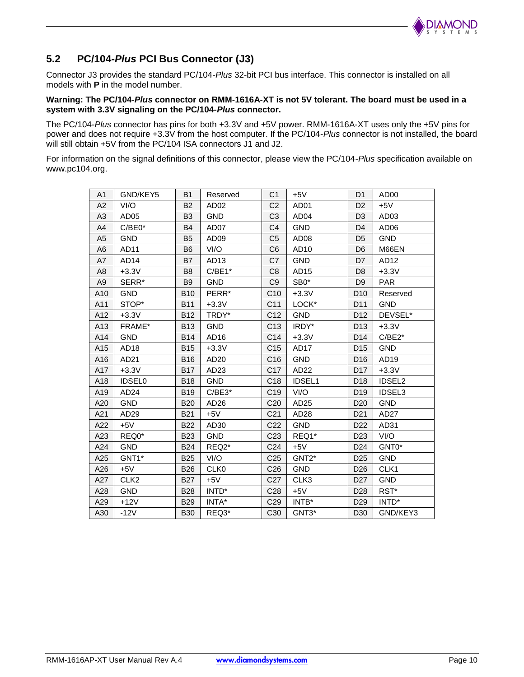

## **5.2 PC/104-***Plus* **PCI Bus Connector (J3)**

Connector J3 provides the standard PC/104-*Plus* 32-bit PCI bus interface. This connector is installed on all models with **P** in the model number.

#### **Warning: The PC/104-***Plus* **connector on RMM-1616A-XT is not 5V tolerant. The board must be used in a system with 3.3V signaling on the PC/104-***Plus* **connector.**

The PC/104-*Plus* connector has pins for both +3.3V and +5V power. RMM-1616A-XT uses only the +5V pins for power and does not require +3.3V from the host computer. If the PC/104-*Plus* connector is not installed, the board will still obtain +5V from the PC/104 ISA connectors J1 and J2.

For information on the signal definitions of this connector, please view the PC/104-*Plus* specification available on www.pc104.org.

| A <sub>1</sub> | GND/KEY5         | <b>B1</b>      | Reserved                      | C <sub>1</sub>  | $+5V$              | D <sub>1</sub>  | AD <sub>00</sub> |
|----------------|------------------|----------------|-------------------------------|-----------------|--------------------|-----------------|------------------|
| A2             | VI/O             | <b>B2</b>      | AD <sub>02</sub>              | C <sub>2</sub>  | AD <sub>01</sub>   | D <sub>2</sub>  | $+5V$            |
| A <sub>3</sub> | AD <sub>05</sub> | B <sub>3</sub> | <b>GND</b>                    | C <sub>3</sub>  | AD <sub>04</sub>   | D <sub>3</sub>  | AD <sub>03</sub> |
| A4             | $C/BE0*$         | <b>B4</b>      | AD07                          | C4              | <b>GND</b>         | D <sub>4</sub>  | AD <sub>06</sub> |
| A <sub>5</sub> | <b>GND</b>       | B <sub>5</sub> | AD <sub>09</sub>              | C <sub>5</sub>  | AD08               | D <sub>5</sub>  | <b>GND</b>       |
| A <sub>6</sub> | AD11             | <b>B6</b>      | VI/O                          | C <sub>6</sub>  | AD10               | D <sub>6</sub>  | M66EN            |
| A7             | AD <sub>14</sub> | <b>B7</b>      | AD <sub>13</sub>              | C7              | <b>GND</b>         | D <sub>7</sub>  | AD12             |
| A <sub>8</sub> | $+3.3V$          | B <sub>8</sub> | $C/BE1*$                      | C <sub>8</sub>  | AD <sub>15</sub>   | D <sub>8</sub>  | $+3.3V$          |
| A <sub>9</sub> | SERR*            | <b>B</b> 9     | <b>GND</b>                    | C <sub>9</sub>  | SB0*               | D <sub>9</sub>  | <b>PAR</b>       |
| A10            | <b>GND</b>       | <b>B10</b>     | PERR*                         | C10             | $+3.3V$            | D <sub>10</sub> | Reserved         |
| A11            | STOP*            | <b>B11</b>     | $+3.3V$                       | C <sub>11</sub> | LOCK*              | D11             | <b>GND</b>       |
| A12            | $+3.3V$          | <b>B12</b>     | TRDY*                         | C <sub>12</sub> | <b>GND</b>         | D <sub>12</sub> | DEVSEL*          |
| A13            | FRAME*           | <b>B13</b>     | <b>GND</b>                    | C <sub>13</sub> | IRDY*              | D <sub>13</sub> | $+3.3V$          |
| A14            | <b>GND</b>       | <b>B14</b>     | AD <sub>16</sub>              | C14             | $+3.3V$            | D <sub>14</sub> | $C/BE2*$         |
| A15            | AD <sub>18</sub> | <b>B15</b>     | $+3.3V$                       | C <sub>15</sub> | AD17               | D <sub>15</sub> | <b>GND</b>       |
| A16            | AD21             | <b>B16</b>     | AD <sub>20</sub>              | C16             | <b>GND</b>         | D <sub>16</sub> | AD <sub>19</sub> |
| A17            | $+3.3V$          | <b>B17</b>     | AD <sub>23</sub>              | C <sub>17</sub> | AD <sub>22</sub>   | D <sub>17</sub> | $+3.3V$          |
| A18            | <b>IDSEL0</b>    | <b>B18</b>     | <b>GND</b>                    | C <sub>18</sub> | <b>IDSEL1</b>      | D <sub>18</sub> | <b>IDSEL2</b>    |
| A19            | AD <sub>24</sub> | <b>B19</b>     | $C/BE3*$                      | C <sub>19</sub> | VI/O               | D <sub>19</sub> | <b>IDSEL3</b>    |
| A20            | <b>GND</b>       | <b>B20</b>     | AD <sub>26</sub>              | C <sub>20</sub> | AD <sub>25</sub>   | D <sub>20</sub> | <b>GND</b>       |
| A21            | AD <sub>29</sub> | <b>B21</b>     | $+5V$                         | C <sub>21</sub> | AD <sub>28</sub>   | D <sub>21</sub> | AD <sub>27</sub> |
| A22            | $+5V$            | <b>B22</b>     | AD30                          | C <sub>22</sub> | <b>GND</b>         | D <sub>22</sub> | AD31             |
| A23            | REQ0*            | <b>B23</b>     | <b>GND</b>                    | C <sub>23</sub> | REQ1*              | D <sub>23</sub> | VI/O             |
| A24            | <b>GND</b>       | <b>B24</b>     | REQ <sub>2</sub> <sup>*</sup> | C <sub>24</sub> | $+5V$              | D <sub>24</sub> | GNT0*            |
| A25            | GNT1*            | <b>B25</b>     | VI/O                          | C <sub>25</sub> | GNT <sub>2</sub> * | D <sub>25</sub> | <b>GND</b>       |
| A26            | $+5V$            | <b>B26</b>     | CLK <sub>0</sub>              | C <sub>26</sub> | <b>GND</b>         | D <sub>26</sub> | CLK1             |
| A27            | CLK <sub>2</sub> | <b>B27</b>     | $+5V$                         | C <sub>27</sub> | CLK3               | D <sub>27</sub> | <b>GND</b>       |
| A28            | <b>GND</b>       | <b>B28</b>     | INTD*                         | C <sub>28</sub> | $+5V$              | D <sub>28</sub> | RST*             |
| A29            | +12V             | <b>B29</b>     | INTA*                         | C <sub>29</sub> | INTB*              | D <sub>29</sub> | INTD*            |
| A30            | $-12V$           | <b>B30</b>     | REQ3*                         | C30             | GNT3*              | D <sub>30</sub> | GND/KEY3         |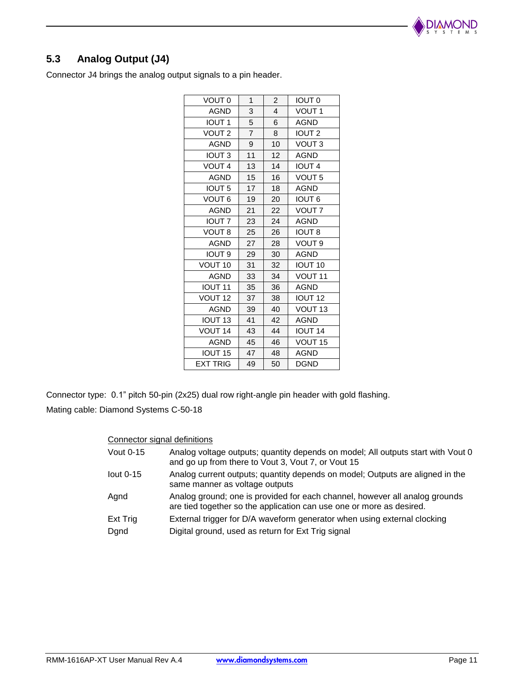

# **5.3 Analog Output (J4)**

Connector J4 brings the analog output signals to a pin header.

| VOUT <sub>0</sub>  | 1              | $\overline{2}$ | <b>IOUT 0</b>      |
|--------------------|----------------|----------------|--------------------|
| AGND               | 3              | 4              | VOUT 1             |
| <b>IOUT1</b>       | 5              | 6              | <b>AGND</b>        |
| VOUT <sub>2</sub>  | $\overline{7}$ | 8              | IOUT <sub>2</sub>  |
| <b>AGND</b>        | 9              | 10             | VOUT <sub>3</sub>  |
| <b>IOUT3</b>       | 11             | 12             | <b>AGND</b>        |
| VOUT <sub>4</sub>  | 13             | 14             | <b>IOUT 4</b>      |
| <b>AGND</b>        | 15             | 16             | VOUT <sub>5</sub>  |
| <b>IOUT 5</b>      | 17             | 18             | <b>AGND</b>        |
| <b>VOUT 6</b>      | 19             | 20             | <b>IOUT 6</b>      |
| <b>AGND</b>        | 21             | 22             | VOUT <sub>7</sub>  |
| <b>IOUT 7</b>      | 23             | 24             | <b>AGND</b>        |
| VOUT <sub>8</sub>  | 25             | 26             | <b>IOUT 8</b>      |
| <b>AGND</b>        | 27             | 28             | VOUT 9             |
| <b>IOUT 9</b>      | 29             | 30             | <b>AGND</b>        |
| VOUT <sub>10</sub> | 31             | 32             | <b>IOUT 10</b>     |
| <b>AGND</b>        | 33             | 34             | VOUT <sub>11</sub> |
| <b>IOUT 11</b>     | 35             | 36             | <b>AGND</b>        |
| VOUT <sub>12</sub> | 37             | 38             | <b>IOUT 12</b>     |
| <b>AGND</b>        | 39             | 40             | VOUT <sub>13</sub> |
| <b>IOUT 13</b>     | 41             | 42             | <b>AGND</b>        |
| VOUT <sub>14</sub> | 43             | 44             | <b>IOUT 14</b>     |
| <b>AGND</b>        | 45             | 46             | VOUT <sub>15</sub> |
| <b>IOUT 15</b>     | 47             | 48             | AGND               |
| <b>EXT TRIG</b>    | 49             | 50             | <b>DGND</b>        |

Connector type: 0.1" pitch 50-pin (2x25) dual row right-angle pin header with gold flashing.

Mating cable: Diamond Systems C-50-18

#### Connector signal definitions

| Vout 0-15       | Analog voltage outputs; quantity depends on model; All outputs start with Vout 0<br>and go up from there to Vout 3, Vout 7, or Vout 15              |
|-----------------|-----------------------------------------------------------------------------------------------------------------------------------------------------|
| lout $0-15$     | Analog current outputs; quantity depends on model; Outputs are aligned in the<br>same manner as voltage outputs                                     |
| Agnd            | Analog ground; one is provided for each channel, however all analog grounds<br>are tied together so the application can use one or more as desired. |
| <b>Ext Trig</b> | External trigger for D/A waveform generator when using external clocking                                                                            |
| Dgnd            | Digital ground, used as return for Ext Trig signal                                                                                                  |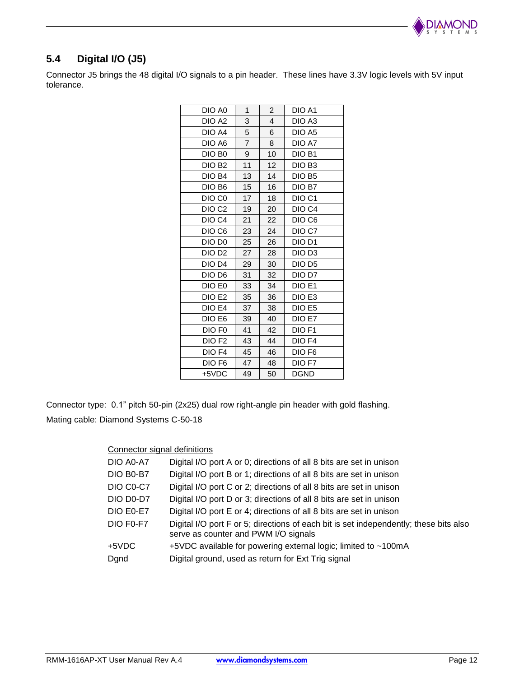

# **5.4 Digital I/O (J5)**

Connector J5 brings the 48 digital I/O signals to a pin header. These lines have 3.3V logic levels with 5V input tolerance.

| DIO A0             | 1              | $\overline{c}$ | DIO A1             |
|--------------------|----------------|----------------|--------------------|
| DIO A <sub>2</sub> | 3              | 4              | DIO A3             |
| DIO A4             | 5              | 6              | DIO A5             |
| DIO A6             | $\overline{7}$ | 8              | DIO A7             |
| DIO B <sub>0</sub> | 9              | 10             | DIO B1             |
| DIO <sub>B2</sub>  | 11             | 12             | DIO B <sub>3</sub> |
| DIO B4             | 13             | 14             | DIO B <sub>5</sub> |
| DIO B <sub>6</sub> | 15             | 16             | DIO B7             |
| DIO C <sub>0</sub> | 17             | 18             | DIO <sub>C1</sub>  |
| DIO <sub>C2</sub>  | 19             | 20             | DIO C4             |
| DIO C4             | 21             | 22             | DIO C6             |
| DIO C6             | 23             | 24             | DIO C7             |
| DIO D <sub>0</sub> | 25             | 26             | DIO D1             |
| DIO D <sub>2</sub> | 27             | 28             | DIO D3             |
| DIO D <sub>4</sub> | 29             | 30             | DIO D <sub>5</sub> |
| DIO D <sub>6</sub> | 31             | 32             | DIO D7             |
| DIO E0             | 33             | 34             | DIO E1             |
| DIO E2             | 35             | 36             | DIO E3             |
| DIO E4             | 37             | 38             | DIO E5             |
| DIO E6             | 39             | 40             | DIO E7             |
| DIO F <sub>0</sub> | 41             | 42             | DIO F1             |
| DIO F <sub>2</sub> | 43             | 44             | DIO F4             |
| DIO F4             | 45             | 46             | DIO F <sub>6</sub> |
| DIO F <sub>6</sub> | 47             | 48             | DIO F7             |
| +5VDC              | 49             | 50             | <b>DGND</b>        |
|                    |                |                |                    |

Connector type: 0.1" pitch 50-pin (2x25) dual row right-angle pin header with gold flashing. Mating cable: Diamond Systems C-50-18

#### Connector signal definitions

| DIO A0-A7 | Digital I/O port A or 0; directions of all 8 bits are set in unison                                                           |
|-----------|-------------------------------------------------------------------------------------------------------------------------------|
| DIO B0-B7 | Digital I/O port B or 1; directions of all 8 bits are set in unison                                                           |
| DIO C0-C7 | Digital I/O port C or 2; directions of all 8 bits are set in unison                                                           |
| DIO D0-D7 | Digital I/O port D or 3; directions of all 8 bits are set in unison                                                           |
| DIO E0-E7 | Digital I/O port E or 4; directions of all 8 bits are set in unison                                                           |
| DIO F0-F7 | Digital I/O port F or 5; directions of each bit is set independently; these bits also<br>serve as counter and PWM I/O signals |
| +5VDC     | +5VDC available for powering external logic; limited to ~100mA                                                                |
| Dgnd      | Digital ground, used as return for Ext Trig signal                                                                            |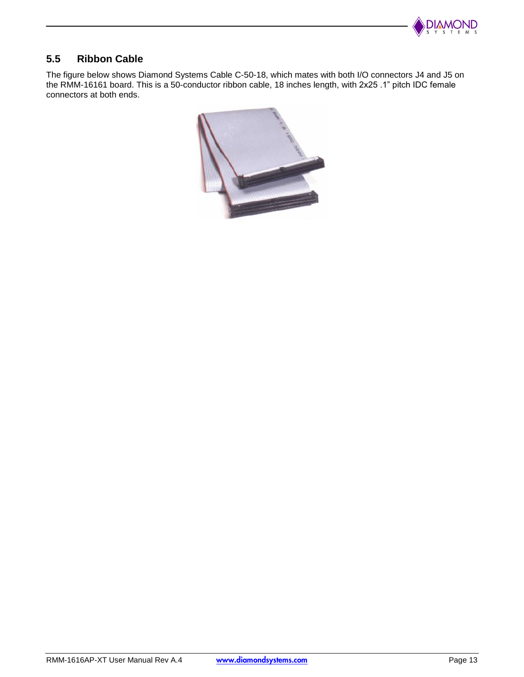

## **5.5 Ribbon Cable**

The figure below shows Diamond Systems Cable C-50-18, which mates with both I/O connectors J4 and J5 on the RMM-16161 board. This is a 50-conductor ribbon cable, 18 inches length, with 2x25 .1" pitch IDC female connectors at both ends.

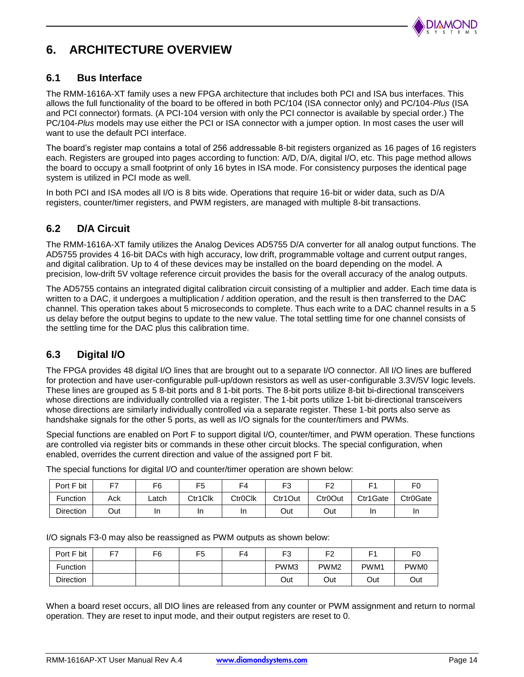

# **6. ARCHITECTURE OVERVIEW**

#### **6.1 Bus Interface**

The RMM-1616A-XT family uses a new FPGA architecture that includes both PCI and ISA bus interfaces. This allows the full functionality of the board to be offered in both PC/104 (ISA connector only) and PC/104-*Plus* (ISA and PCI connector) formats. (A PCI-104 version with only the PCI connector is available by special order.) The PC/104-*Plus* models may use either the PCI or ISA connector with a jumper option. In most cases the user will want to use the default PCI interface.

The board's register map contains a total of 256 addressable 8-bit registers organized as 16 pages of 16 registers each. Registers are grouped into pages according to function: A/D, D/A, digital I/O, etc. This page method allows the board to occupy a small footprint of only 16 bytes in ISA mode. For consistency purposes the identical page system is utilized in PCI mode as well.

In both PCI and ISA modes all I/O is 8 bits wide. Operations that require 16-bit or wider data, such as D/A registers, counter/timer registers, and PWM registers, are managed with multiple 8-bit transactions.

#### **6.2 D/A Circuit**

The RMM-1616A-XT family utilizes the Analog Devices AD5755 D/A converter for all analog output functions. The AD5755 provides 4 16-bit DACs with high accuracy, low drift, programmable voltage and current output ranges, and digital calibration. Up to 4 of these devices may be installed on the board depending on the model. A precision, low-drift 5V voltage reference circuit provides the basis for the overall accuracy of the analog outputs.

The AD5755 contains an integrated digital calibration circuit consisting of a multiplier and adder. Each time data is written to a DAC, it undergoes a multiplication / addition operation, and the result is then transferred to the DAC channel. This operation takes about 5 microseconds to complete. Thus each write to a DAC channel results in a 5 us delay before the output begins to update to the new value. The total settling time for one channel consists of the settling time for the DAC plus this calibration time.

### **6.3 Digital I/O**

The FPGA provides 48 digital I/O lines that are brought out to a separate I/O connector. All I/O lines are buffered for protection and have user-configurable pull-up/down resistors as well as user-configurable 3.3V/5V logic levels. These lines are grouped as 5 8-bit ports and 8 1-bit ports. The 8-bit ports utilize 8-bit bi-directional transceivers whose directions are individually controlled via a register. The 1-bit ports utilize 1-bit bi-directional transceivers whose directions are similarly individually controlled via a separate register. These 1-bit ports also serve as handshake signals for the other 5 ports, as well as I/O signals for the counter/timers and PWMs.

Special functions are enabled on Port F to support digital I/O, counter/timer, and PWM operation. These functions are controlled via register bits or commands in these other circuit blocks. The special configuration, when enabled, overrides the current direction and value of the assigned port F bit.

| Port F bit       | F7  | F6    | F5      | F4             | F3      | ⊏ว                   |          | F0                    |
|------------------|-----|-------|---------|----------------|---------|----------------------|----------|-----------------------|
| <b>Function</b>  | Ack | Latch | Ctr1Clk | <b>CtrOCIK</b> | Ctr1Out | Ctr <sub>0</sub> Out | Ctr1Gate | Ctr <sub>0</sub> Gate |
| <b>Direction</b> | Out | In    | ın      | Ш              | Out     | Out                  | In       | In                    |

The special functions for digital I/O and counter/timer operation are shown below:

I/O signals F3-0 may also be reassigned as PWM outputs as shown below:

| Port F bit       | -- | F6 | F5 | F4 | ⊏ว<br>ູ | F <sub>2</sub>   | Ε١   | F0               |
|------------------|----|----|----|----|---------|------------------|------|------------------|
| <b>Function</b>  |    |    |    |    | PWM3    | PWM <sub>2</sub> | PWM1 | PWM <sub>0</sub> |
| <b>Direction</b> |    |    |    |    | Out     | Out              | Out  | Out              |

When a board reset occurs, all DIO lines are released from any counter or PWM assignment and return to normal operation. They are reset to input mode, and their output registers are reset to 0.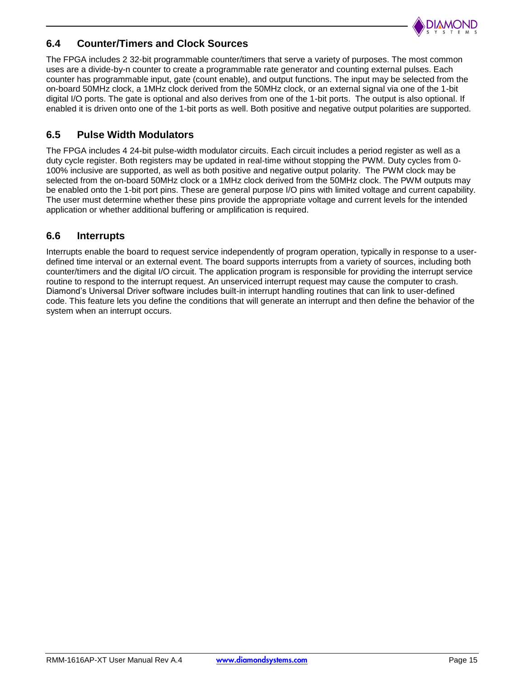

#### **6.4 Counter/Timers and Clock Sources**

The FPGA includes 2 32-bit programmable counter/timers that serve a variety of purposes. The most common uses are a divide-by-n counter to create a programmable rate generator and counting external pulses. Each counter has programmable input, gate (count enable), and output functions. The input may be selected from the on-board 50MHz clock, a 1MHz clock derived from the 50MHz clock, or an external signal via one of the 1-bit digital I/O ports. The gate is optional and also derives from one of the 1-bit ports. The output is also optional. If enabled it is driven onto one of the 1-bit ports as well. Both positive and negative output polarities are supported.

#### **6.5 Pulse Width Modulators**

The FPGA includes 4 24-bit pulse-width modulator circuits. Each circuit includes a period register as well as a duty cycle register. Both registers may be updated in real-time without stopping the PWM. Duty cycles from 0- 100% inclusive are supported, as well as both positive and negative output polarity. The PWM clock may be selected from the on-board 50MHz clock or a 1MHz clock derived from the 50MHz clock. The PWM outputs may be enabled onto the 1-bit port pins. These are general purpose I/O pins with limited voltage and current capability. The user must determine whether these pins provide the appropriate voltage and current levels for the intended application or whether additional buffering or amplification is required.

#### **6.6 Interrupts**

Interrupts enable the board to request service independently of program operation, typically in response to a userdefined time interval or an external event. The board supports interrupts from a variety of sources, including both counter/timers and the digital I/O circuit. The application program is responsible for providing the interrupt service routine to respond to the interrupt request. An unserviced interrupt request may cause the computer to crash. Diamond's Universal Driver software includes built-in interrupt handling routines that can link to user-defined code. This feature lets you define the conditions that will generate an interrupt and then define the behavior of the system when an interrupt occurs.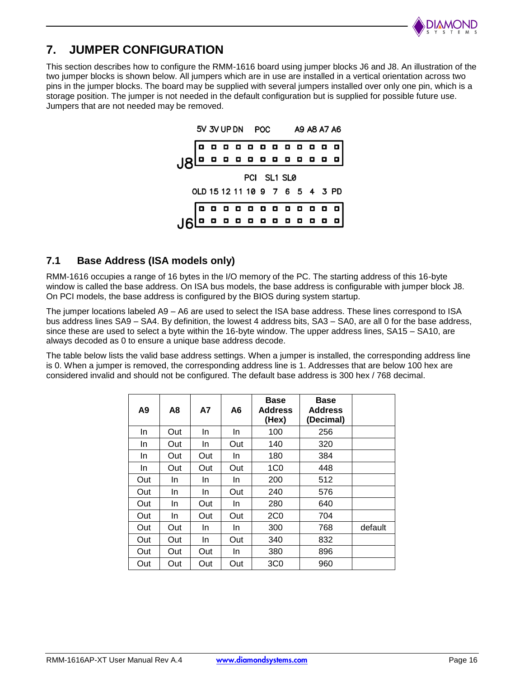

# **7. JUMPER CONFIGURATION**

This section describes how to configure the RMM-1616 board using jumper blocks J6 and J8. An illustration of the two jumper blocks is shown below. All jumpers which are in use are installed in a vertical orientation across two pins in the jumper blocks. The board may be supplied with several jumpers installed over only one pin, which is a storage position. The jumper is not needed in the default configuration but is supplied for possible future use. Jumpers that are not needed may be removed.



#### **7.1 Base Address (ISA models only)**

RMM-1616 occupies a range of 16 bytes in the I/O memory of the PC. The starting address of this 16-byte window is called the base address. On ISA bus models, the base address is configurable with jumper block J8. On PCI models, the base address is configured by the BIOS during system startup.

The jumper locations labeled A9 – A6 are used to select the ISA base address. These lines correspond to ISA bus address lines SA9 – SA4. By definition, the lowest 4 address bits, SA3 – SA0, are all 0 for the base address, since these are used to select a byte within the 16-byte window. The upper address lines, SA15 – SA10, are always decoded as 0 to ensure a unique base address decode.

The table below lists the valid base address settings. When a jumper is installed, the corresponding address line is 0. When a jumper is removed, the corresponding address line is 1. Addresses that are below 100 hex are considered invalid and should not be configured. The default base address is 300 hex / 768 decimal.

| A9        | A8  | А7        | A6  | Base<br><b>Address</b><br>(Hex) | <b>Base</b><br><b>Address</b><br>(Decimal) |         |
|-----------|-----|-----------|-----|---------------------------------|--------------------------------------------|---------|
| In        | Out | In        | In. | 100                             | 256                                        |         |
| In.       | Out | In.       | Out | 140                             | 320                                        |         |
| <u>In</u> | Out | Out       | In. | 180                             | 384                                        |         |
| In.       | Out | Out       | Out | 1 <sub>CO</sub>                 | 448                                        |         |
| Out       | In. | <u>In</u> | In. | 200                             | 512                                        |         |
| Out       | In. | <u>In</u> | Out | 240                             | 576                                        |         |
| Out       | In. | Out       | In. | 280                             | 640                                        |         |
| Out       | In. | Out       | Out | 2C <sub>0</sub>                 | 704                                        |         |
| Out       | Out | In        | In. | 300                             | 768                                        | default |
| Out       | Out | In        | Out | 340                             | 832                                        |         |
| Out       | Out | Out       | In. | 380                             | 896                                        |         |
| Out       | Out | Out       | Out | 3C <sub>0</sub>                 | 960                                        |         |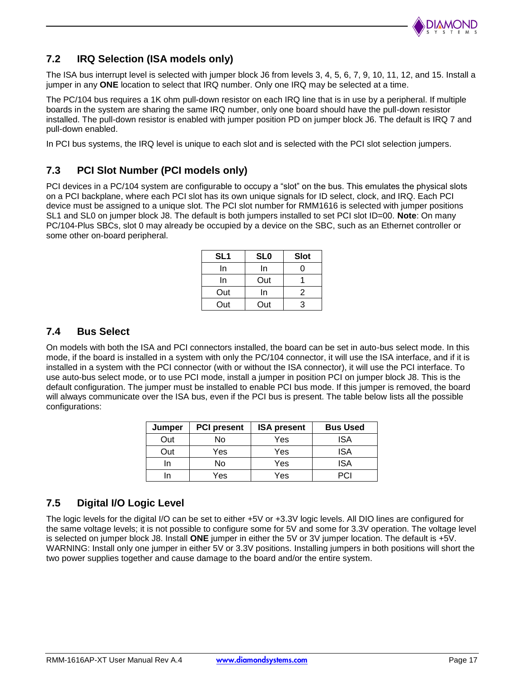

## **7.2 IRQ Selection (ISA models only)**

The ISA bus interrupt level is selected with jumper block J6 from levels 3, 4, 5, 6, 7, 9, 10, 11, 12, and 15. Install a jumper in any **ONE** location to select that IRQ number. Only one IRQ may be selected at a time.

The PC/104 bus requires a 1K ohm pull-down resistor on each IRQ line that is in use by a peripheral. If multiple boards in the system are sharing the same IRQ number, only one board should have the pull-down resistor installed. The pull-down resistor is enabled with jumper position PD on jumper block J6. The default is IRQ 7 and pull-down enabled.

In PCI bus systems, the IRQ level is unique to each slot and is selected with the PCI slot selection jumpers.

#### **7.3 PCI Slot Number (PCI models only)**

PCI devices in a PC/104 system are configurable to occupy a "slot" on the bus. This emulates the physical slots on a PCI backplane, where each PCI slot has its own unique signals for ID select, clock, and IRQ. Each PCI device must be assigned to a unique slot. The PCI slot number for RMM1616 is selected with jumper positions SL1 and SL0 on jumper block J8. The default is both jumpers installed to set PCI slot ID=00. **Note**: On many PC/104-Plus SBCs, slot 0 may already be occupied by a device on the SBC, such as an Ethernet controller or some other on-board peripheral.

| SL <sub>1</sub> | <b>SLO</b> | <b>Slot</b> |
|-----------------|------------|-------------|
| In              | In         | O           |
| In              | Out        |             |
| Out             | In         | 2           |
| Out             | Out        | ว           |

#### **7.4 Bus Select**

On models with both the ISA and PCI connectors installed, the board can be set in auto-bus select mode. In this mode, if the board is installed in a system with only the PC/104 connector, it will use the ISA interface, and if it is installed in a system with the PCI connector (with or without the ISA connector), it will use the PCI interface. To use auto-bus select mode, or to use PCI mode, install a jumper in position PCI on jumper block J8. This is the default configuration. The jumper must be installed to enable PCI bus mode. If this jumper is removed, the board will always communicate over the ISA bus, even if the PCI bus is present. The table below lists all the possible configurations:

| Jumper | <b>PCI present</b> | <b>ISA present</b> | <b>Bus Used</b> |
|--------|--------------------|--------------------|-----------------|
| Out    | No                 | Yes                | ISA             |
| Out    | Yes                | Yes                | <b>ISA</b>      |
| ın     | No                 | Yes                | <b>ISA</b>      |
|        | Yes                | Yes                | 2€.             |

### **7.5 Digital I/O Logic Level**

The logic levels for the digital I/O can be set to either +5V or +3.3V logic levels. All DIO lines are configured for the same voltage levels; it is not possible to configure some for 5V and some for 3.3V operation. The voltage level is selected on jumper block J8. Install **ONE** jumper in either the 5V or 3V jumper location. The default is +5V. WARNING: Install only one jumper in either 5V or 3.3V positions. Installing jumpers in both positions will short the two power supplies together and cause damage to the board and/or the entire system.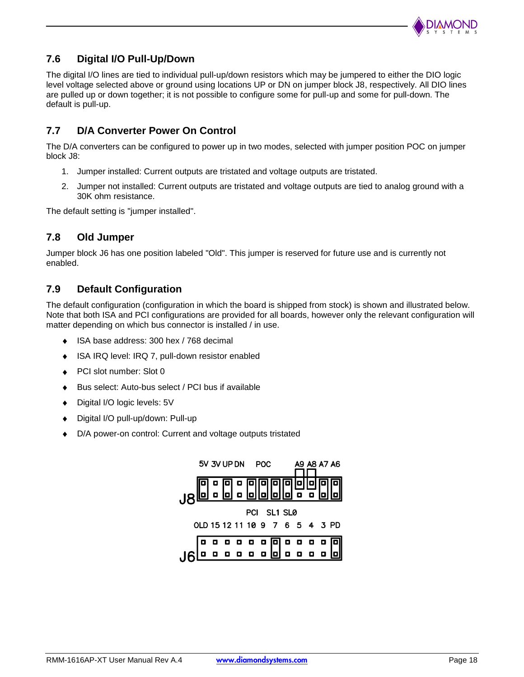

## **7.6 Digital I/O Pull-Up/Down**

The digital I/O lines are tied to individual pull-up/down resistors which may be jumpered to either the DIO logic level voltage selected above or ground using locations UP or DN on jumper block J8, respectively. All DIO lines are pulled up or down together; it is not possible to configure some for pull-up and some for pull-down. The default is pull-up.

## **7.7 D/A Converter Power On Control**

The D/A converters can be configured to power up in two modes, selected with jumper position POC on jumper block J8:

- 1. Jumper installed: Current outputs are tristated and voltage outputs are tristated.
- 2. Jumper not installed: Current outputs are tristated and voltage outputs are tied to analog ground with a 30K ohm resistance.

The default setting is "jumper installed".

#### **7.8 Old Jumper**

Jumper block J6 has one position labeled "Old". This jumper is reserved for future use and is currently not enabled.

#### **7.9 Default Configuration**

The default configuration (configuration in which the board is shipped from stock) is shown and illustrated below. Note that both ISA and PCI configurations are provided for all boards, however only the relevant configuration will matter depending on which bus connector is installed / in use.

- ISA base address: 300 hex / 768 decimal
- ISA IRQ level: IRQ 7, pull-down resistor enabled  $\bullet$
- PCI slot number: Slot 0
- Bus select: Auto-bus select / PCI bus if available ٠
- Digital I/O logic levels: 5V  $\bullet$
- Digital I/O pull-up/down: Pull-up  $\bullet$
- D/A power-on control: Current and voltage outputs tristated

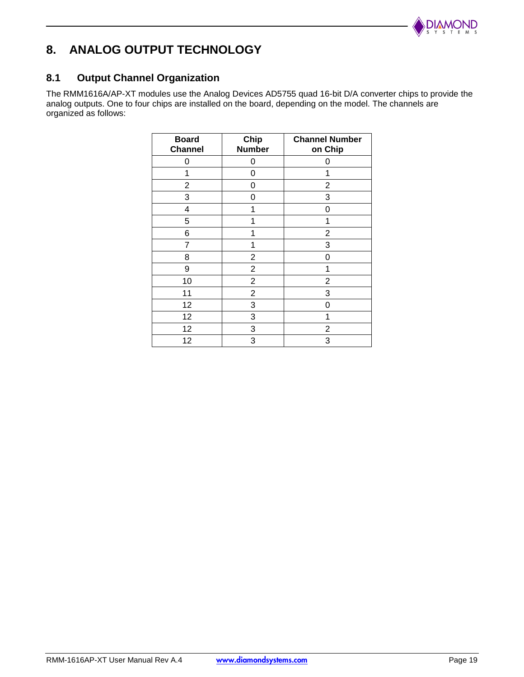

# **8. ANALOG OUTPUT TECHNOLOGY**

## **8.1 Output Channel Organization**

The RMM1616A/AP-XT modules use the Analog Devices AD5755 quad 16-bit D/A converter chips to provide the analog outputs. One to four chips are installed on the board, depending on the model. The channels are organized as follows:

| <b>Board</b><br><b>Channel</b> | Chip<br><b>Number</b> | <b>Channel Number</b><br>on Chip |
|--------------------------------|-----------------------|----------------------------------|
| 0                              | 0                     | 0                                |
| 1                              | 0                     | 1                                |
| $\overline{2}$                 | 0                     | $\overline{2}$                   |
| 3                              | 0                     | 3                                |
| 4                              | 1                     | 0                                |
| 5                              | 1                     | 1                                |
| 6                              | 1                     | $\overline{2}$                   |
| 7                              | 1                     | 3                                |
| 8                              | $\overline{2}$        | 0                                |
| 9                              | $\overline{c}$        | 1                                |
| 10                             | $\overline{2}$        | $\overline{2}$                   |
| 11                             | $\overline{2}$        | 3                                |
| 12                             | 3                     | 0                                |
| 12                             | 3                     | 1                                |
| 12                             | 3                     | 2                                |
| 12                             | 3                     | 3                                |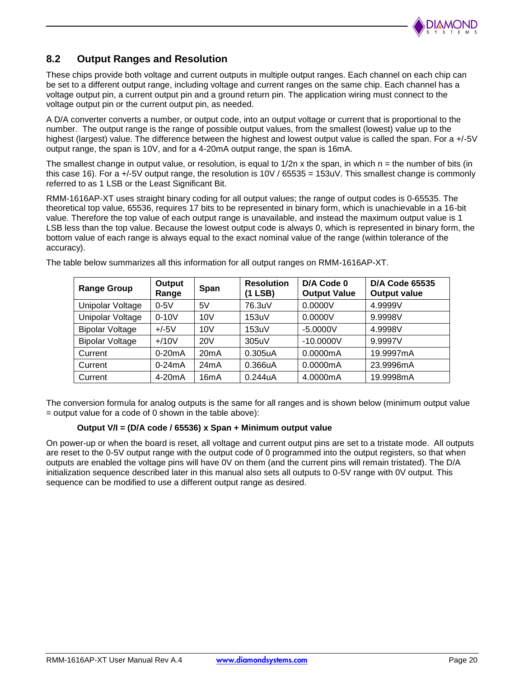

## **8.2 Output Ranges and Resolution**

These chips provide both voltage and current outputs in multiple output ranges. Each channel on each chip can be set to a different output range, including voltage and current ranges on the same chip. Each channel has a voltage output pin, a current output pin and a ground return pin. The application wiring must connect to the voltage output pin or the current output pin, as needed.

A D/A converter converts a number, or output code, into an output voltage or current that is proportional to the number. The output range is the range of possible output values, from the smallest (lowest) value up to the highest (largest) value. The difference between the highest and lowest output value is called the span. For a +/-5V output range, the span is 10V, and for a 4-20mA output range, the span is 16mA.

The smallest change in output value, or resolution, is equal to  $1/2n$  x the span, in which  $n =$  the number of bits (in this case 16). For a +/-5V output range, the resolution is 10V / 65535 = 153uV. This smallest change is commonly referred to as 1 LSB or the Least Significant Bit.

RMM-1616AP-XT uses straight binary coding for all output values; the range of output codes is 0-65535. The theoretical top value, 65536, requires 17 bits to be represented in binary form, which is unachievable in a 16-bit value. Therefore the top value of each output range is unavailable, and instead the maximum output value is 1 LSB less than the top value. Because the lowest output code is always 0, which is represented in binary form, the bottom value of each range is always equal to the exact nominal value of the range (within tolerance of the accuracy).

| <b>Range Group</b>     | Output<br>Range | <b>Span</b>     | <b>Resolution</b><br>(1 LSB) | D/A Code 0<br><b>Output Value</b> | <b>D/A Code 65535</b><br><b>Output value</b> |
|------------------------|-----------------|-----------------|------------------------------|-----------------------------------|----------------------------------------------|
| Unipolar Voltage       | $0-5V$          | 5V              | 76.3uV                       | 0.0000V                           | 4.9999V                                      |
| Unipolar Voltage       | $0-10V$         | 10V             | 153uV                        | 0.0000V                           | 9.9998V                                      |
| <b>Bipolar Voltage</b> | $+/-5V$         | 10V             | 153uV                        | $-5.0000V$                        | 4.9998V                                      |
| <b>Bipolar Voltage</b> | $+/10V$         | 20 <sub>V</sub> | 305uV                        | $-10.0000V$                       | 9.9997V                                      |
| Current                | $0-20mA$        | 20mA            | 0.305uA                      | 0.0000mA                          | 19.9997mA                                    |
| Current                | $0-24mA$        | 24mA            | 0.366uA                      | 0.0000mA                          | 23.9996mA                                    |
| Current                | $4-20mA$        | 16mA            | 0.244uA                      | 4.0000mA                          | 19.9998mA                                    |

The table below summarizes all this information for all output ranges on RMM-1616AP-XT.

The conversion formula for analog outputs is the same for all ranges and is shown below (minimum output value  $=$  output value for a code of 0 shown in the table above):

#### **Output V/I = (D/A code / 65536) x Span + Minimum output value**

On power-up or when the board is reset, all voltage and current output pins are set to a tristate mode. All outputs are reset to the 0-5V output range with the output code of 0 programmed into the output registers, so that when outputs are enabled the voltage pins will have 0V on them (and the current pins will remain tristated). The D/A initialization sequence described later in this manual also sets all outputs to 0-5V range with 0V output. This sequence can be modified to use a different output range as desired.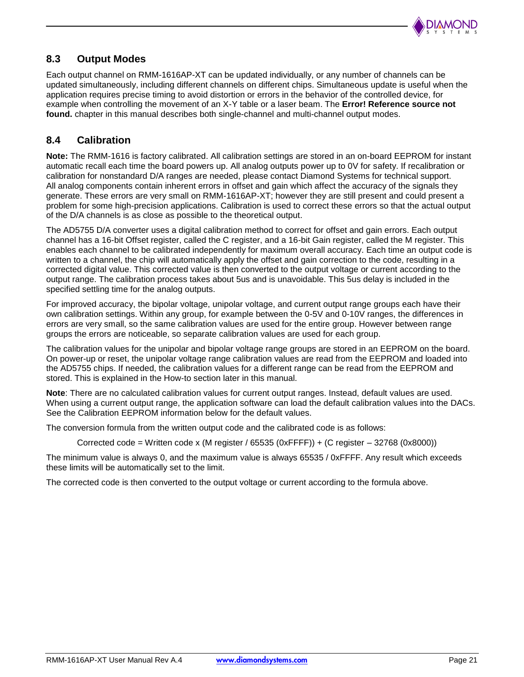

## **8.3 Output Modes**

Each output channel on RMM-1616AP-XT can be updated individually, or any number of channels can be updated simultaneously, including different channels on different chips. Simultaneous update is useful when the application requires precise timing to avoid distortion or errors in the behavior of the controlled device, for example when controlling the movement of an X-Y table or a laser beam. The **Error! Reference source not found.** chapter in this manual describes both single-channel and multi-channel output modes.

## **8.4 Calibration**

**Note:** The RMM-1616 is factory calibrated. All calibration settings are stored in an on-board EEPROM for instant automatic recall each time the board powers up. All analog outputs power up to 0V for safety. If recalibration or calibration for nonstandard D/A ranges are needed, please contact Diamond Systems for technical support. All analog components contain inherent errors in offset and gain which affect the accuracy of the signals they generate. These errors are very small on RMM-1616AP-XT; however they are still present and could present a problem for some high-precision applications. Calibration is used to correct these errors so that the actual output of the D/A channels is as close as possible to the theoretical output.

The AD5755 D/A converter uses a digital calibration method to correct for offset and gain errors. Each output channel has a 16-bit Offset register, called the C register, and a 16-bit Gain register, called the M register. This enables each channel to be calibrated independently for maximum overall accuracy. Each time an output code is written to a channel, the chip will automatically apply the offset and gain correction to the code, resulting in a corrected digital value. This corrected value is then converted to the output voltage or current according to the output range. The calibration process takes about 5us and is unavoidable. This 5us delay is included in the specified settling time for the analog outputs.

For improved accuracy, the bipolar voltage, unipolar voltage, and current output range groups each have their own calibration settings. Within any group, for example between the 0-5V and 0-10V ranges, the differences in errors are very small, so the same calibration values are used for the entire group. However between range groups the errors are noticeable, so separate calibration values are used for each group.

The calibration values for the unipolar and bipolar voltage range groups are stored in an EEPROM on the board. On power-up or reset, the unipolar voltage range calibration values are read from the EEPROM and loaded into the AD5755 chips. If needed, the calibration values for a different range can be read from the EEPROM and stored. This is explained in the How-to section later in this manual.

**Note**: There are no calculated calibration values for current output ranges. Instead, default values are used. When using a current output range, the application software can load the default calibration values into the DACs. See the Calibration EEPROM information below for the default values.

The conversion formula from the written output code and the calibrated code is as follows:

Corrected code = Written code x (M register / 65535 (0xFFFF)) + (C register  $-$  32768 (0x8000))

The minimum value is always 0, and the maximum value is always 65535 / 0xFFFF. Any result which exceeds these limits will be automatically set to the limit.

The corrected code is then converted to the output voltage or current according to the formula above.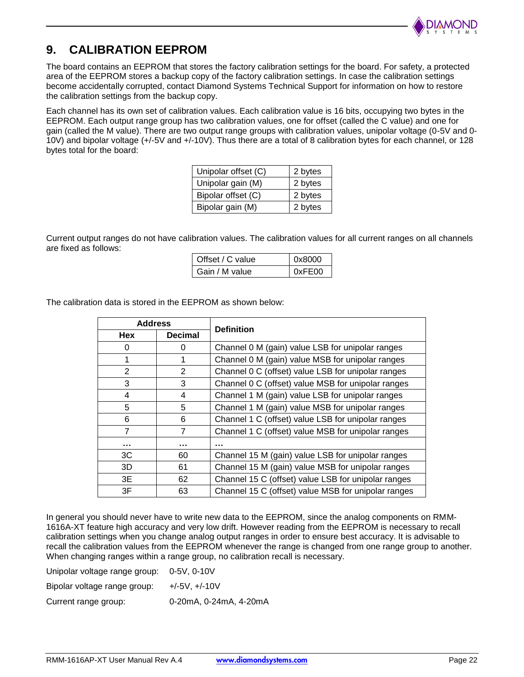

# **9. CALIBRATION EEPROM**

The board contains an EEPROM that stores the factory calibration settings for the board. For safety, a protected area of the EEPROM stores a backup copy of the factory calibration settings. In case the calibration settings become accidentally corrupted, contact Diamond Systems Technical Support for information on how to restore the calibration settings from the backup copy.

Each channel has its own set of calibration values. Each calibration value is 16 bits, occupying two bytes in the EEPROM. Each output range group has two calibration values, one for offset (called the C value) and one for gain (called the M value). There are two output range groups with calibration values, unipolar voltage (0-5V and 0- 10V) and bipolar voltage (+/-5V and +/-10V). Thus there are a total of 8 calibration bytes for each channel, or 128 bytes total for the board:

| Unipolar offset (C) | 2 bytes |
|---------------------|---------|
| Unipolar gain (M)   | 2 bytes |
| Bipolar offset (C)  | 2 bytes |
| Bipolar gain (M)    | 2 bytes |

Current output ranges do not have calibration values. The calibration values for all current ranges on all channels are fixed as follows:

| Offset / C value | 0x8000 |
|------------------|--------|
| Gain / M value   | 0xFE00 |

The calibration data is stored in the EEPROM as shown below:

| <b>Address</b> |                | <b>Definition</b>                                   |
|----------------|----------------|-----------------------------------------------------|
| Hex            | <b>Decimal</b> |                                                     |
| 0              | 0              | Channel 0 M (gain) value LSB for unipolar ranges    |
|                |                | Channel 0 M (gain) value MSB for unipolar ranges    |
| 2              | $\mathcal{P}$  | Channel 0 C (offset) value LSB for unipolar ranges  |
| 3              | 3              | Channel 0 C (offset) value MSB for unipolar ranges  |
| 4              | 4              | Channel 1 M (gain) value LSB for unipolar ranges    |
| 5              | 5              | Channel 1 M (gain) value MSB for unipolar ranges    |
| 6              | 6              | Channel 1 C (offset) value LSB for unipolar ranges  |
| $\overline{7}$ | 7              | Channel 1 C (offset) value MSB for unipolar ranges  |
|                |                |                                                     |
| 3C             | 60             | Channel 15 M (gain) value LSB for unipolar ranges   |
| 3D             | 61             | Channel 15 M (gain) value MSB for unipolar ranges   |
| 3E             | 62             | Channel 15 C (offset) value LSB for unipolar ranges |
| 3F             | 63             | Channel 15 C (offset) value MSB for unipolar ranges |

In general you should never have to write new data to the EEPROM, since the analog components on RMM-1616A-XT feature high accuracy and very low drift. However reading from the EEPROM is necessary to recall calibration settings when you change analog output ranges in order to ensure best accuracy. It is advisable to recall the calibration values from the EEPROM whenever the range is changed from one range group to another. When changing ranges within a range group, no calibration recall is necessary.

| Unipolar voltage range group: | 0-5V. 0-10V            |
|-------------------------------|------------------------|
| Bipolar voltage range group:  | $+/-5V. +/-10V$        |
| Current range group:          | 0-20mA, 0-24mA, 4-20mA |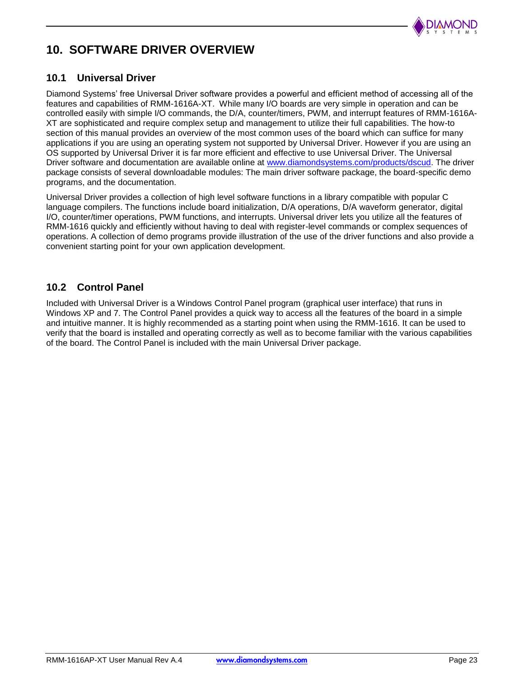

# **10. SOFTWARE DRIVER OVERVIEW**

#### **10.1 Universal Driver**

Diamond Systems' free Universal Driver software provides a powerful and efficient method of accessing all of the features and capabilities of RMM-1616A-XT. While many I/O boards are very simple in operation and can be controlled easily with simple I/O commands, the D/A, counter/timers, PWM, and interrupt features of RMM-1616A-XT are sophisticated and require complex setup and management to utilize their full capabilities. The how-to section of this manual provides an overview of the most common uses of the board which can suffice for many applications if you are using an operating system not supported by Universal Driver. However if you are using an OS supported by Universal Driver it is far more efficient and effective to use Universal Driver. The Universal Driver software and documentation are available online at [www.diamondsystems.com/products/dscud.](http://www.diamondsystems.com/products/dscud) The driver package consists of several downloadable modules: The main driver software package, the board-specific demo programs, and the documentation.

Universal Driver provides a collection of high level software functions in a library compatible with popular C language compilers. The functions include board initialization, D/A operations, D/A waveform generator, digital I/O, counter/timer operations, PWM functions, and interrupts. Universal driver lets you utilize all the features of RMM-1616 quickly and efficiently without having to deal with register-level commands or complex sequences of operations. A collection of demo programs provide illustration of the use of the driver functions and also provide a convenient starting point for your own application development.

#### **10.2 Control Panel**

Included with Universal Driver is a Windows Control Panel program (graphical user interface) that runs in Windows XP and 7. The Control Panel provides a quick way to access all the features of the board in a simple and intuitive manner. It is highly recommended as a starting point when using the RMM-1616. It can be used to verify that the board is installed and operating correctly as well as to become familiar with the various capabilities of the board. The Control Panel is included with the main Universal Driver package.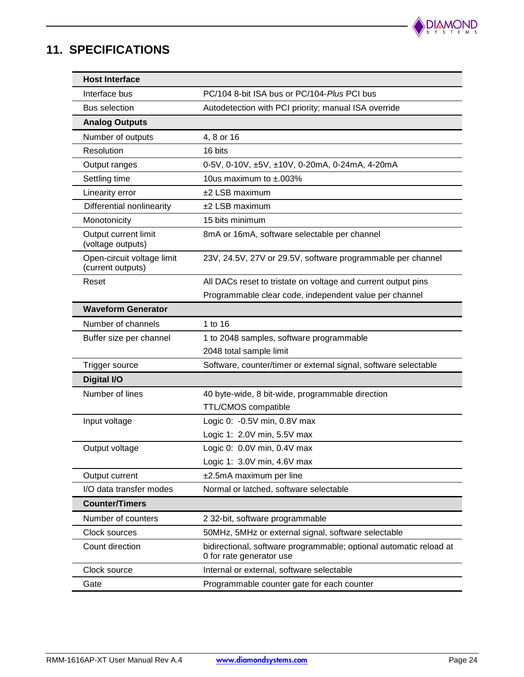

# **11. SPECIFICATIONS**

| <b>Host Interface</b>                           |                                                                                                |
|-------------------------------------------------|------------------------------------------------------------------------------------------------|
| Interface bus                                   | PC/104 8-bit ISA bus or PC/104-Plus PCI bus                                                    |
| <b>Bus selection</b>                            | Autodetection with PCI priority; manual ISA override                                           |
| <b>Analog Outputs</b>                           |                                                                                                |
| Number of outputs                               | 4, 8 or 16                                                                                     |
| Resolution                                      | 16 bits                                                                                        |
| Output ranges                                   | 0-5V, 0-10V, ±5V, ±10V, 0-20mA, 0-24mA, 4-20mA                                                 |
| Settling time                                   | 10us maximum to $\pm$ .003%                                                                    |
| Linearity error                                 | $±2$ LSB maximum                                                                               |
| Differential nonlinearity                       | $±2$ LSB maximum                                                                               |
| Monotonicity                                    | 15 bits minimum                                                                                |
| Output current limit<br>(voltage outputs)       | 8mA or 16mA, software selectable per channel                                                   |
| Open-circuit voltage limit<br>(current outputs) | 23V, 24.5V, 27V or 29.5V, software programmable per channel                                    |
| Reset                                           | All DACs reset to tristate on voltage and current output pins                                  |
|                                                 | Programmable clear code, independent value per channel                                         |
| <b>Waveform Generator</b>                       |                                                                                                |
| Number of channels                              | 1 to 16                                                                                        |
| Buffer size per channel                         | 1 to 2048 samples, software programmable                                                       |
|                                                 | 2048 total sample limit                                                                        |
| Trigger source                                  | Software, counter/timer or external signal, software selectable                                |
| <b>Digital I/O</b>                              |                                                                                                |
| Number of lines                                 | 40 byte-wide, 8 bit-wide, programmable direction                                               |
|                                                 | <b>TTL/CMOS compatible</b>                                                                     |
| Input voltage                                   | Logic 0: -0.5V min, 0.8V max                                                                   |
|                                                 | Logic 1: 2.0V min, 5.5V max                                                                    |
| Output voltage                                  | Logic 0: 0.0V min, 0.4V max                                                                    |
|                                                 | Logic 1: 3.0V min, 4.6V max                                                                    |
| Output current                                  | ±2.5mA maximum per line                                                                        |
| I/O data transfer modes                         | Normal or latched, software selectable                                                         |
| <b>Counter/Timers</b>                           |                                                                                                |
| Number of counters                              | 2 32-bit, software programmable                                                                |
| Clock sources                                   | 50MHz, 5MHz or external signal, software selectable                                            |
| Count direction                                 | bidirectional, software programmable; optional automatic reload at<br>0 for rate generator use |
| Clock source                                    | Internal or external, software selectable                                                      |
| Gate                                            | Programmable counter gate for each counter                                                     |